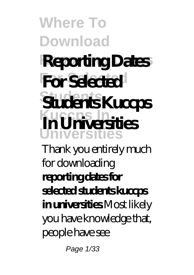# **Reporting Dates Reporting Dates For Selected For Selected**

**Students Students Kuccps Kuccps** In **Universities In Universities**

Thank you entirely much for downloading **reporting dates for selected students kuccps in universities**.Most likely you have knowledge that, people have see

Page 1/33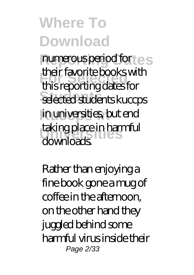numerous period for  $\in$  s **For Selected** this reporting dates for **Students** selected students kuccps in universities, but end **Universities** taking place in harmful their favorite books with downloads.

Rather than enjoying a fine book gone a mug of coffee in the afternoon, on the other hand they juggled behind some harmful virus inside their Page 2/33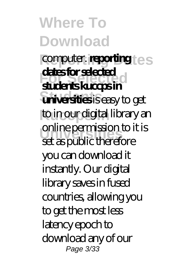computer. **reporting**  $e$ <sub>S</sub> **For Selected students kuccps in universities** is easy to get to in our digital library an **Universities** online permission to it is **dates for selected** set as public therefore you can download it instantly. Our digital library saves in fused countries, allowing you to get the most less latency epoch to download any of our Page 3/33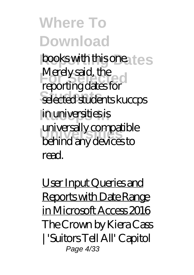books with this one. **Les For Selected**<br> **For Selected**<br> **For Selected**<br> **For Selected**<br> **For Selected**<br> **For Selected**<br> **For Selected**<br> **For Selected Students** selected students kuccps in universities is **Universities** behind any devices to Merely said, the universally compatible read.

User Input Queries and Reports with Date Range in Microsoft Access 2016 *The Crown by Kiera Cass | 'Suitors Tell All' Capitol* Page 4/33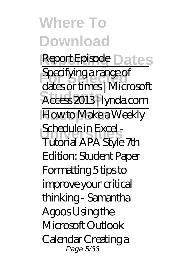### **Where To Download Report Episode** Dates

**Specifying a range of Students** Access 2013 | lynda.com How to Make a Weekly **Schedule in Excel -**<br>Tutorial A DA Stake dates or times | Microsoft Schedule in Excel - Tutorial APA Style 7th Edition: Student Paper Formatting *5 tips to improve your critical thinking - Samantha Agoos* Using the Microsoft Outlook Calendar Creating a Page 5/33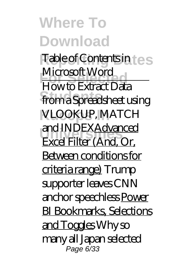**Where To Download Table of Contents in Les For Selection**<br> **Flow to Extract Data Strume 1997** VLOOKUP, MATCH **Universities** Excel Filter (And, Or, Microsoft Word and INDEXAdvanced Between conditions for criteria range) Trump supporter leaves CNN anchor speechless Power BI Bookmarks, Selections and Toggles Why so many all Japan selected Page 6<sup>7</sup>33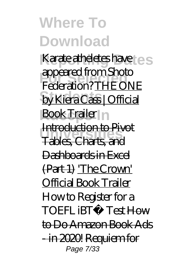Karate atheletes have **For Selected** Federation? THE ONE by Kiera Cass | Official Book Trailer n **Universities** Tables, Charts, and appeared from Shoto Introduction to Pivot Dashboards in Excel (Part 1) 'The Crown' Official Book Trailer *How to Register for a TOEFL iBT® Test* How to Do Amazon Book Ads - in 2020! Requiem for Page 7/33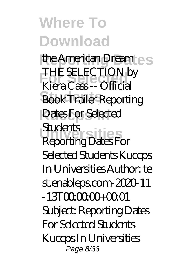the American Dream **For Selected** *Kiera Cass -- Official* **Book Trailer Reporting Dates For Selected Universities** Reporting Dates For *THE SELECTION by* **Students** Selected Students Kuccps In Universities Author: te st.enableps.com-2020-11 -13T00:00:00+00:01 Subject: Reporting Dates For Selected Students Kuccps In Universities Page 8/33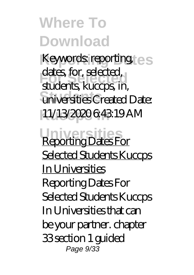Keywords: reporting **For Selected** students, kuccps, in, universities Created Date: 11/13/2020 6:43:19 AM dates, for, selected.

**Universities** Reporting Dates For Selected Students Kuccps In Universities Reporting Dates For Selected Students Kuccps In Universities that can be your partner. chapter 33 section 1 guided Page 9/33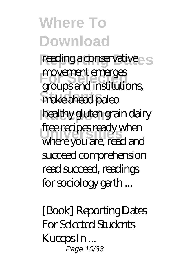#### **Where To Download** reading a conservative s **For Selected** groups and institutions, **Students** make ahead paleo movement emerges

healthy gluten grain dairy free recipes ready when<br>Where *You are read and* where you are, read and succeed comprehension read succeed, readings for sociology garth ...

[Book] Reporting Dates For Selected Students Kuccps In ... <sub>.</sub><br>Page 10/33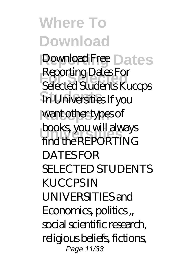Download Free Dates **For Selected** Selected Students Kuccps **Students** In Universities If you want other types of **books, you will always<br>Find the PEPOPTING** Reporting Dates For find the REPORTING DATES FOR SELECTED STUDENTS KUCCPS IN UNIVERSITIES and Economics, politics ,, social scientific research, religious beliefs, fictions, Page 11/33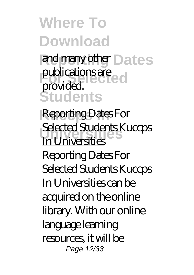and many other **Dates** publications are ed **Students** provided.

**Reporting Dates For Universities** Selected Students Kuccps In Universities Reporting Dates For Selected Students Kuccps In Universities can be acquired on the online library. With our online language learning resources, it will be Page 12/33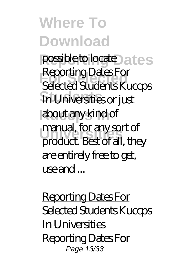possible to locate bates **For Selected** Selected Students Kuccps **Students** In Universities or just about any kind of manual, for any sort of<br>
moduct Pest of all the Reporting Dates For product. Best of all, they are entirely free to get, use and ...

Reporting Dates For Selected Students Kuccps In Universities Reporting Dates For Page 13/33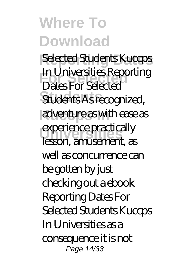Selected Students Kuccps **For Selected** Dates For Selected **Students** Students As recognized, adventure as with ease as experience practically In Universities Reporting lesson, amusement, as well as concurrence can be gotten by just checking out a ebook Reporting Dates For Selected Students Kuccps In Universities as a consequence it is not Page 14/33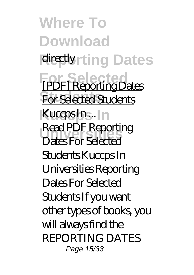**Where To Download** directly<sub>rting</sub> Dates **For Selected** [PDF] Reporting Dates **For Selected Students** Kuccps In... **Universities** Dates For Selected Read PDF Reporting Students Kuccps In Universities Reporting Dates For Selected Students If you want other types of books, you will always find the REPORTING DATES Page 15/33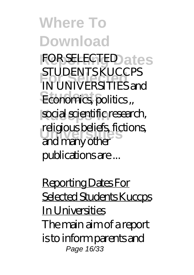**FOR SELECTED ates For Selected** IN UNIVERSITIES and Economics, politics, social scientific research, **Universities** religious beliefs, fictions, STUDENTS KUCCPS and many other publications are ...

Reporting Dates For Selected Students Kuccps In Universities The main aim of a report is to inform parents and Page 16/33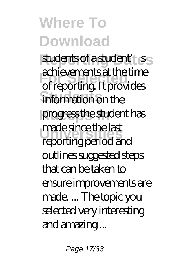students of a student'<sub>s</sub> **For Selected** of reporting. It provides information on the progress the student has **Universities** reporting period and achievements at the time made since the last outlines suggested steps that can be taken to ensure improvements are made. ... The topic you selected very interesting and amazing ...

Page 17/33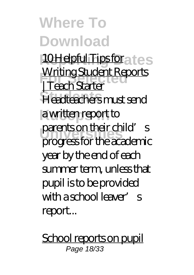10 Helpful Tips for a tes **Writing Student Reports**<br>
Forch Starter **Students** Headteachers must send a written report to parents on their child's | Teach Starter progress for the academic year by the end of each summer term, unless that pupil is to be provided with a school leaver's report...

School reports on pupil Page 18/33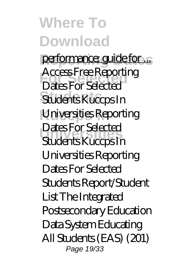performance: guide for ... **For Selected** Dates For Selected **Students** Students Kuccps In Universities Reporting **Universities** Students Kuccps In Access Free Reporting Dates For Selected Universities Reporting Dates For Selected Students Report/Student List The Integrated Postsecondary Education Data System Educating All Students (EAS) (201) Page 19/33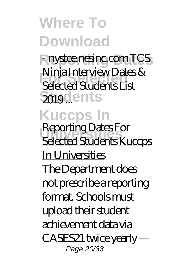**Reporting Dates** - nystce.nesinc.com TCS **For Selected** Selected Students List 2019 **...** ents Ninja Interview Dates &

#### **Kuccps In**

**Universities** Selected Students Kuccps Reporting Dates For In Universities The Department does not prescribe a reporting format. Schools must upload their student achievement data via CASES21 twice yearly — Page 20/33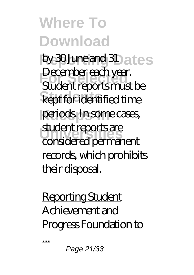by 30 June and 31 ates **For Selected** Student reports must be kept for identified time periods. In some cases, **Universities** considered permanent December each year. student reports are records, which prohibits their disposal.

Reporting Student Achievement and Progress Foundation to

...

Page 21/33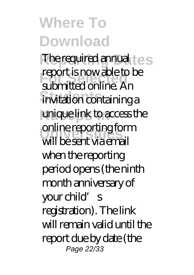The required annual test **Feport Is now able to**<br> **submitted online.** An invitation containing a unique link to access the online reporting form report is now able to be will be sent via email when the reporting period opens (the ninth month anniversary of your child's registration). The link will remain valid until the report due by date (the Page 22/33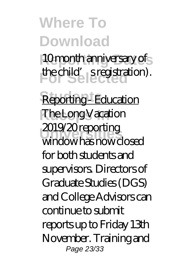10 month anniversary of the child's registration).

Reporting - Education **The Long Vacation Universities** window has now closed 2019/20 reporting for both students and supervisors. Directors of Graduate Studies (DGS) and College Advisors can continue to submit reports up to Friday 13th November. Training and Page 23/33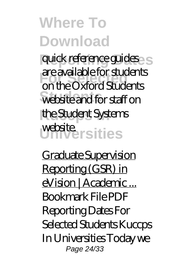quick reference guides s **For Selected** on the Oxford Students website and for staff on the Student Systems website<sub>rsities</sub> are available for students

Graduate Supervision Reporting (GSR) in eVision | Academic ... Bookmark File PDF Reporting Dates For Selected Students Kuccps In Universities Today we Page 24/33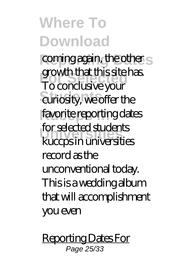coming again, the other s **For Selected** To conclusive your curiosity, we offer the favorite reporting dates **Universities** kuccps in universities growth that this site has. for selected students record as the unconventional today. This is a wedding album that will accomplishment you even

Reporting Dates For Page 25/33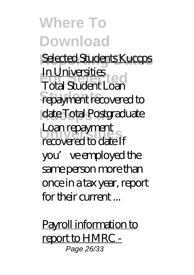Selected Students Kuccps **For Selected** Total Student Loan repayment recovered to date Total Postgraduate **Universities** recovered to date If In Universities Loan repayment you' ve employed the same person more than once in a tax year, report for their current ...

Payroll information to report to HMRC - Page 26/33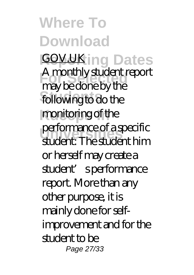**Where To Download GOV.UK ing Dates For Selected** may be done by the following to do the monitoring of the performance of a specific<br>
randorf: The children bim A monthly student report student: The student him or herself may create a student's performance report. More than any other purpose, it is mainly done for selfimprovement and for the student to be Page 27/33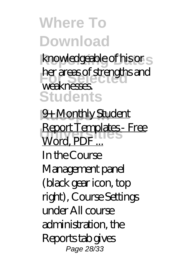knowledgeable of his or s **For areas of strengths and Students** weaknesses.

**9+ Monthly Student** Report Templates - Free<br>Wend PDF Word, PDF In the Course Management panel (black gear icon, top right), Course Settings under All course administration, the Reports tab gives Page 28/33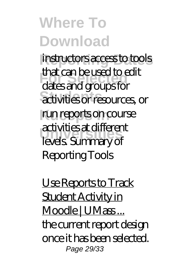instructors access to tools **For Selected** dates and groups for activities or resources, or run reports on course **Universities** levels. Summary of that can be used to edit activities at different Reporting Tools

Use Reports to Track Student Activity in Moodle | UMass... the current report design once it has been selected. Page 29/33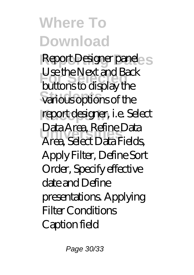Report Designer panel S **For Selected** buttons to display the various options of the report designer, i.e. Select **Universities** Area, Select Data Fields, Use the Next and Back Data Area, Refine Data Apply Filter, Define Sort Order, Specify effective date and Define presentations. Applying Filter Conditions Caption field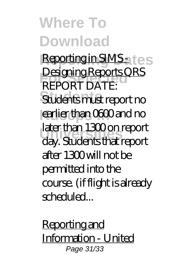Reporting in SIMS at es **FORT DATE: Students** Students must report no earlier than 0600 and no **Universities** day. Students that report Designing Reports QRS later than 1300 on report after 1300 will not be permitted into the course. (if flight is already scheduled...

Reporting and Information - United Page 31/33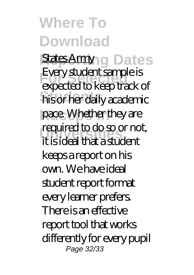States Armyng Dates **For Selected** expected to keep track of **Students** his or her daily academic pace. Whether they are required to do so or not,<br>**it is ideal that a student** Every student sample is it is ideal that a student keeps a report on his own. We have ideal student report format every learner prefers. There is an effective report tool that works differently for every pupil Page 32/33